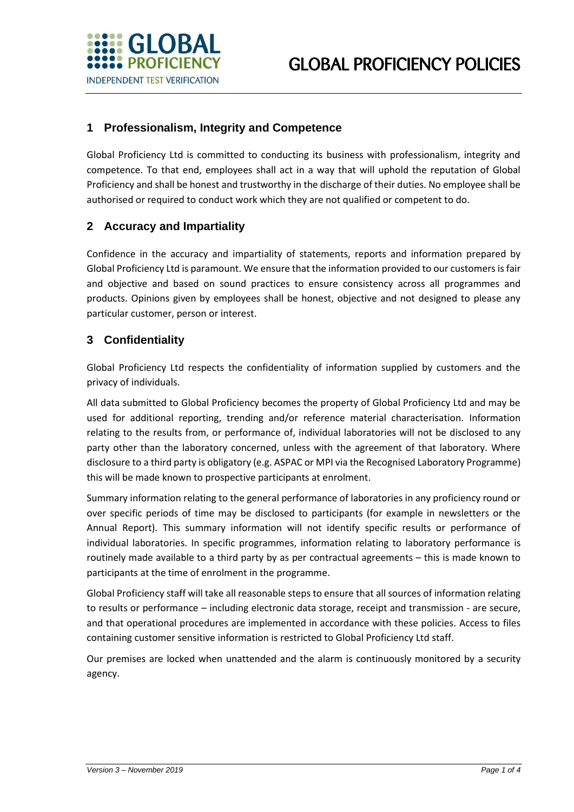

### **1 Professionalism, Integrity and Competence**

Global Proficiency Ltd is committed to conducting its business with professionalism, integrity and competence. To that end, employees shall act in a way that will uphold the reputation of Global Proficiency and shall be honest and trustworthy in the discharge of their duties. No employee shall be authorised or required to conduct work which they are not qualified or competent to do.

### **2 Accuracy and Impartiality**

Confidence in the accuracy and impartiality of statements, reports and information prepared by Global Proficiency Ltd is paramount. We ensure that the information provided to our customers is fair and objective and based on sound practices to ensure consistency across all programmes and products. Opinions given by employees shall be honest, objective and not designed to please any particular customer, person or interest.

#### **3 Confidentiality**

Global Proficiency Ltd respects the confidentiality of information supplied by customers and the privacy of individuals.

All data submitted to Global Proficiency becomes the property of Global Proficiency Ltd and may be used for additional reporting, trending and/or reference material characterisation. Information relating to the results from, or performance of, individual laboratories will not be disclosed to any party other than the laboratory concerned, unless with the agreement of that laboratory. Where disclosure to a third party is obligatory (e.g. ASPAC or MPI via the Recognised Laboratory Programme) this will be made known to prospective participants at enrolment.

Summary information relating to the general performance of laboratories in any proficiency round or over specific periods of time may be disclosed to participants (for example in newsletters or the Annual Report). This summary information will not identify specific results or performance of individual laboratories. In specific programmes, information relating to laboratory performance is routinely made available to a third party by as per contractual agreements – this is made known to participants at the time of enrolment in the programme.

Global Proficiency staff will take all reasonable steps to ensure that all sources of information relating to results or performance – including electronic data storage, receipt and transmission - are secure, and that operational procedures are implemented in accordance with these policies. Access to files containing customer sensitive information is restricted to Global Proficiency Ltd staff.

Our premises are locked when unattended and the alarm is continuously monitored by a security agency.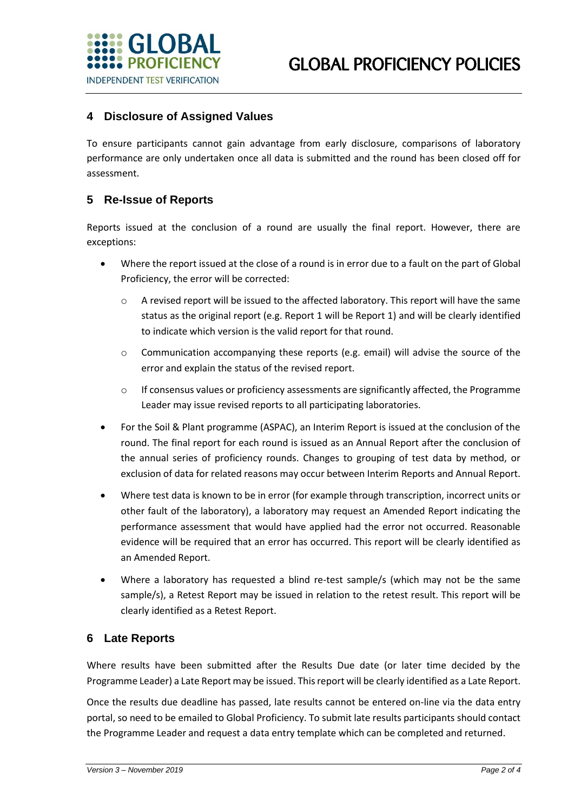

#### **4 Disclosure of Assigned Values**

To ensure participants cannot gain advantage from early disclosure, comparisons of laboratory performance are only undertaken once all data is submitted and the round has been closed off for assessment.

#### **5 Re-Issue of Reports**

Reports issued at the conclusion of a round are usually the final report. However, there are exceptions:

- Where the report issued at the close of a round is in error due to a fault on the part of Global Proficiency, the error will be corrected:
	- o A revised report will be issued to the affected laboratory. This report will have the same status as the original report (e.g. Report 1 will be Report 1) and will be clearly identified to indicate which version is the valid report for that round.
	- $\circ$  Communication accompanying these reports (e.g. email) will advise the source of the error and explain the status of the revised report.
	- $\circ$  If consensus values or proficiency assessments are significantly affected, the Programme Leader may issue revised reports to all participating laboratories.
- For the Soil & Plant programme (ASPAC), an Interim Report is issued at the conclusion of the round. The final report for each round is issued as an Annual Report after the conclusion of the annual series of proficiency rounds. Changes to grouping of test data by method, or exclusion of data for related reasons may occur between Interim Reports and Annual Report.
- Where test data is known to be in error (for example through transcription, incorrect units or other fault of the laboratory), a laboratory may request an Amended Report indicating the performance assessment that would have applied had the error not occurred. Reasonable evidence will be required that an error has occurred. This report will be clearly identified as an Amended Report.
- Where a laboratory has requested a blind re-test sample/s (which may not be the same sample/s), a Retest Report may be issued in relation to the retest result. This report will be clearly identified as a Retest Report.

#### **6 Late Reports**

Where results have been submitted after the Results Due date (or later time decided by the Programme Leader) a Late Report may be issued. This report will be clearly identified as a Late Report.

Once the results due deadline has passed, late results cannot be entered on-line via the data entry portal, so need to be emailed to Global Proficiency. To submit late results participants should contact the Programme Leader and request a data entry template which can be completed and returned.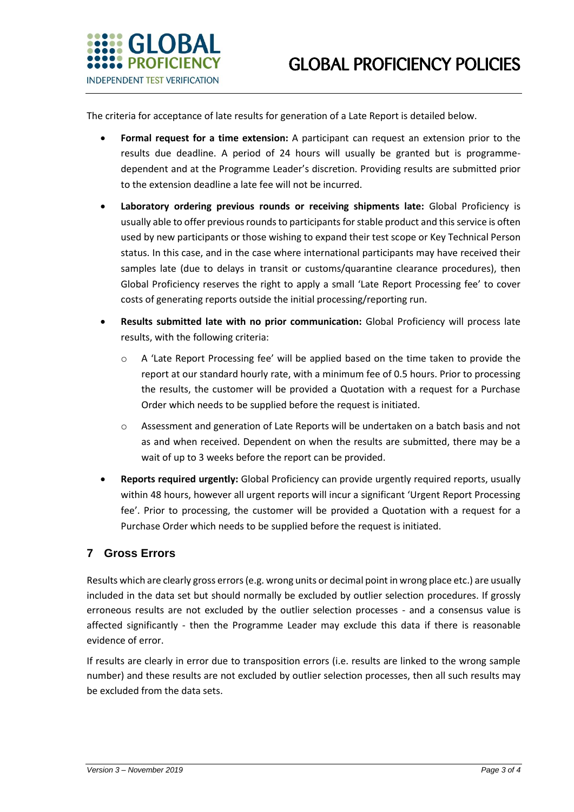

The criteria for acceptance of late results for generation of a Late Report is detailed below.

- **Formal request for a time extension:** A participant can request an extension prior to the results due deadline. A period of 24 hours will usually be granted but is programmedependent and at the Programme Leader's discretion. Providing results are submitted prior to the extension deadline a late fee will not be incurred.
- **Laboratory ordering previous rounds or receiving shipments late:** Global Proficiency is usually able to offer previous rounds to participants for stable product and this service is often used by new participants or those wishing to expand their test scope or Key Technical Person status. In this case, and in the case where international participants may have received their samples late (due to delays in transit or customs/quarantine clearance procedures), then Global Proficiency reserves the right to apply a small 'Late Report Processing fee' to cover costs of generating reports outside the initial processing/reporting run.
- **Results submitted late with no prior communication:** Global Proficiency will process late results, with the following criteria:
	- o A 'Late Report Processing fee' will be applied based on the time taken to provide the report at our standard hourly rate, with a minimum fee of 0.5 hours. Prior to processing the results, the customer will be provided a Quotation with a request for a Purchase Order which needs to be supplied before the request is initiated.
	- o Assessment and generation of Late Reports will be undertaken on a batch basis and not as and when received. Dependent on when the results are submitted, there may be a wait of up to 3 weeks before the report can be provided.
- **Reports required urgently:** Global Proficiency can provide urgently required reports, usually within 48 hours, however all urgent reports will incur a significant 'Urgent Report Processing fee'. Prior to processing, the customer will be provided a Quotation with a request for a Purchase Order which needs to be supplied before the request is initiated.

#### **7 Gross Errors**

Results which are clearly gross errors (e.g. wrong units or decimal point in wrong place etc.) are usually included in the data set but should normally be excluded by outlier selection procedures. If grossly erroneous results are not excluded by the outlier selection processes - and a consensus value is affected significantly - then the Programme Leader may exclude this data if there is reasonable evidence of error.

If results are clearly in error due to transposition errors (i.e. results are linked to the wrong sample number) and these results are not excluded by outlier selection processes, then all such results may be excluded from the data sets.